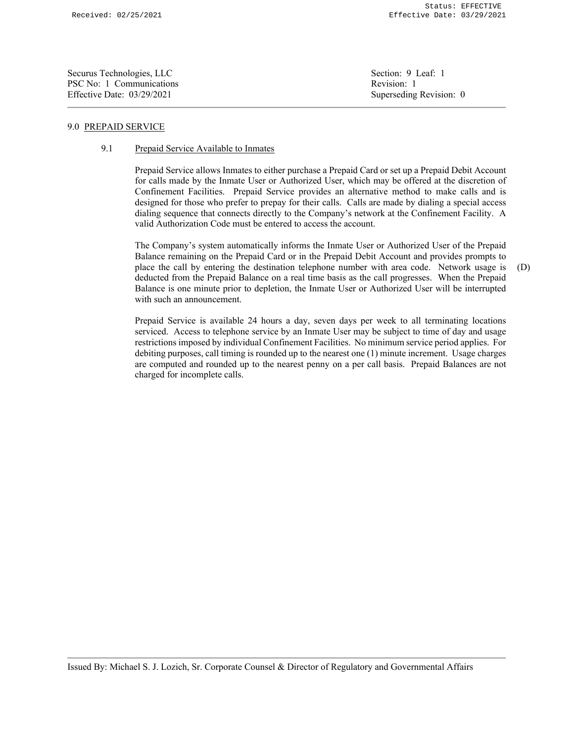| Securus Technologies, LLC    | Section: 9 Leaf: 1      |
|------------------------------|-------------------------|
| PSC No: 1 Communications     | Revision: 1             |
| Effective Date: $03/29/2021$ | Superseding Revision: 0 |
|                              |                         |

### 9.0 PREPAID SERVICE

# 9.1 Prepaid Service Available to Inmates

Prepaid Service allows Inmates to either purchase a Prepaid Card or set up a Prepaid Debit Account for calls made by the Inmate User or Authorized User, which may be offered at the discretion of Confinement Facilities. Prepaid Service provides an alternative method to make calls and is designed for those who prefer to prepay for their calls. Calls are made by dialing a special access dialing sequence that connects directly to the Company's network at the Confinement Facility. A valid Authorization Code must be entered to access the account.

The Company's system automatically informs the Inmate User or Authorized User of the Prepaid Balance remaining on the Prepaid Card or in the Prepaid Debit Account and provides prompts to place the call by entering the destination telephone number with area code. Network usage is deducted from the Prepaid Balance on a real time basis as the call progresses. When the Prepaid Balance is one minute prior to depletion, the Inmate User or Authorized User will be interrupted with such an announcement.

Prepaid Service is available 24 hours a day, seven days per week to all terminating locations serviced. Access to telephone service by an Inmate User may be subject to time of day and usage restrictions imposed by individual Confinement Facilities. No minimum service period applies. For debiting purposes, call timing is rounded up to the nearest one (1) minute increment. Usage charges are computed and rounded up to the nearest penny on a per call basis. Prepaid Balances are not charged for incomplete calls.

Issued By: Michael S. J. Lozich, Sr. Corporate Counsel & Director of Regulatory and Governmental Affairs

(D)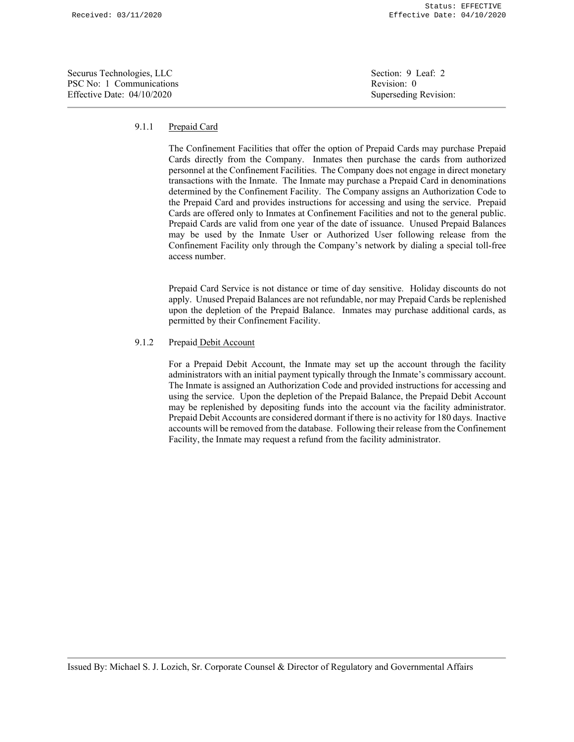| Securus Technologies, LLC    | Section: 9 Leaf: 2    |
|------------------------------|-----------------------|
| PSC No: 1 Communications     | Revision: 0           |
| Effective Date: $04/10/2020$ | Superseding Revision: |

## 9.1.1 Prepaid Card

 The Confinement Facilities that offer the option of Prepaid Cards may purchase Prepaid Cards directly from the Company. Inmates then purchase the cards from authorized personnel at the Confinement Facilities. The Company does not engage in direct monetary transactions with the Inmate. The Inmate may purchase a Prepaid Card in denominations determined by the Confinement Facility. The Company assigns an Authorization Code to the Prepaid Card and provides instructions for accessing and using the service. Prepaid Cards are offered only to Inmates at Confinement Facilities and not to the general public. Prepaid Cards are valid from one year of the date of issuance. Unused Prepaid Balances may be used by the Inmate User or Authorized User following release from the Confinement Facility only through the Company's network by dialing a special toll-free access number.

 Prepaid Card Service is not distance or time of day sensitive. Holiday discounts do not apply. Unused Prepaid Balances are not refundable, nor may Prepaid Cards be replenished upon the depletion of the Prepaid Balance. Inmates may purchase additional cards, as permitted by their Confinement Facility.

# 9.1.2 Prepaid Debit Account

For a Prepaid Debit Account, the Inmate may set up the account through the facility administrators with an initial payment typically through the Inmate's commissary account. The Inmate is assigned an Authorization Code and provided instructions for accessing and using the service. Upon the depletion of the Prepaid Balance, the Prepaid Debit Account may be replenished by depositing funds into the account via the facility administrator. Prepaid Debit Accounts are considered dormant if there is no activity for 180 days. Inactive accounts will be removed from the database. Following their release from the Confinement Facility, the Inmate may request a refund from the facility administrator.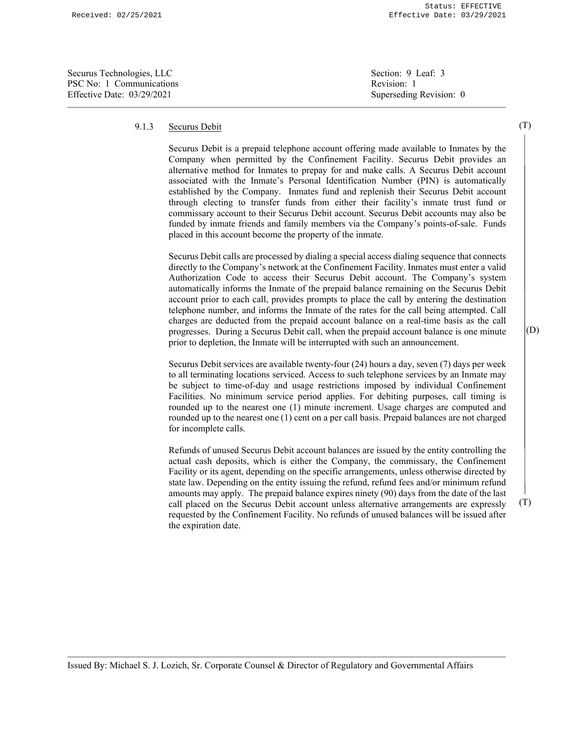| Securus Technologies, LLC    | Section: 9 Leaf: 3      |
|------------------------------|-------------------------|
| PSC No: 1 Communications     | Revision: 1             |
| Effective Date: $03/29/2021$ | Superseding Revision: 0 |

### 9.1.3 Securus Debit

Securus Debit is a prepaid telephone account offering made available to Inmates by the Company when permitted by the Confinement Facility. Securus Debit provides an alternative method for Inmates to prepay for and make calls. A Securus Debit account associated with the Inmate's Personal Identification Number (PIN) is automatically established by the Company. Inmates fund and replenish their Securus Debit account through electing to transfer funds from either their facility's inmate trust fund or commissary account to their Securus Debit account. Securus Debit accounts may also be funded by inmate friends and family members via the Company's points-of-sale. Funds placed in this account become the property of the inmate.

Securus Debit calls are processed by dialing a special access dialing sequence that connects directly to the Company's network at the Confinement Facility. Inmates must enter a valid Authorization Code to access their Securus Debit account. The Company's system automatically informs the Inmate of the prepaid balance remaining on the Securus Debit account prior to each call, provides prompts to place the call by entering the destination telephone number, and informs the Inmate of the rates for the call being attempted. Call charges are deducted from the prepaid account balance on a real-time basis as the call progresses. During a Securus Debit call, when the prepaid account balance is one minute prior to depletion, the Inmate will be interrupted with such an announcement.

Securus Debit services are available twenty-four (24) hours a day, seven (7) days per week to all terminating locations serviced. Access to such telephone services by an Inmate may be subject to time-of-day and usage restrictions imposed by individual Confinement Facilities. No minimum service period applies. For debiting purposes, call timing is rounded up to the nearest one (1) minute increment. Usage charges are computed and rounded up to the nearest one (1) cent on a per call basis. Prepaid balances are not charged for incomplete calls.

Refunds of unused Securus Debit account balances are issued by the entity controlling the actual cash deposits, which is either the Company, the commissary, the Confinement Facility or its agent, depending on the specific arrangements, unless otherwise directed by state law. Depending on the entity issuing the refund, refund fees and/or minimum refund amounts may apply. The prepaid balance expires ninety (90) days from the date of the last call placed on the Securus Debit account unless alternative arrangements are expressly requested by the Confinement Facility. No refunds of unused balances will be issued after the expiration date.

(T)

Issued By: Michael S. J. Lozich, Sr. Corporate Counsel & Director of Regulatory and Governmental Affairs

(T)

(D)